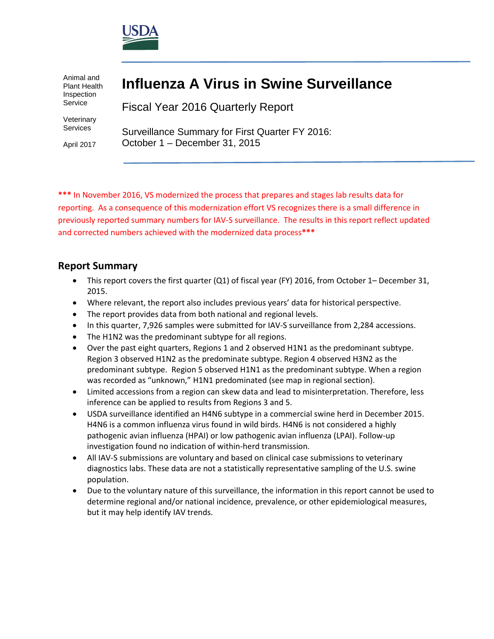

Animal and Plant Health Inspection Service

Veterinary Services

April 2017

# **Influenza A Virus in Swine Surveillance**

Fiscal Year 2016 Quarterly Report

Surveillance Summary for First Quarter FY 2016: October 1 – December 31, 2015

**\*\*\*** In November 2016, VS modernized the process that prepares and stages lab results data for reporting. As a consequence of this modernization effort VS recognizes there is a small difference in previously reported summary numbers for IAV-S surveillance. The results in this report reflect updated and corrected numbers achieved with the modernized data process**\*\*\***

## **Report Summary**

- This report covers the first quarter (Q1) of fiscal year (FY) 2016, from October 1– December 31, 2015.
- Where relevant, the report also includes previous years' data for historical perspective.
- The report provides data from both national and regional levels.
- In this quarter, 7,926 samples were submitted for IAV-S surveillance from 2,284 accessions.
- The H1N2 was the predominant subtype for all regions.
- Over the past eight quarters, Regions 1 and 2 observed H1N1 as the predominant subtype. Region 3 observed H1N2 as the predominate subtype. Region 4 observed H3N2 as the predominant subtype. Region 5 observed H1N1 as the predominant subtype. When a region was recorded as "unknown," H1N1 predominated (see map in regional section).
- Limited accessions from a region can skew data and lead to misinterpretation. Therefore, less inference can be applied to results from Regions 3 and 5.
- USDA surveillance identified an H4N6 subtype in a commercial swine herd in December 2015. H4N6 is a common influenza virus found in wild birds. H4N6 is not considered a highly pathogenic avian influenza (HPAI) or low pathogenic avian influenza (LPAI). Follow-up investigation found no indication of within-herd transmission.
- All IAV-S submissions are voluntary and based on clinical case submissions to veterinary diagnostics labs. These data are not a statistically representative sampling of the U.S. swine population.
- Due to the voluntary nature of this surveillance, the information in this report cannot be used to determine regional and/or national incidence, prevalence, or other epidemiological measures, but it may help identify IAV trends.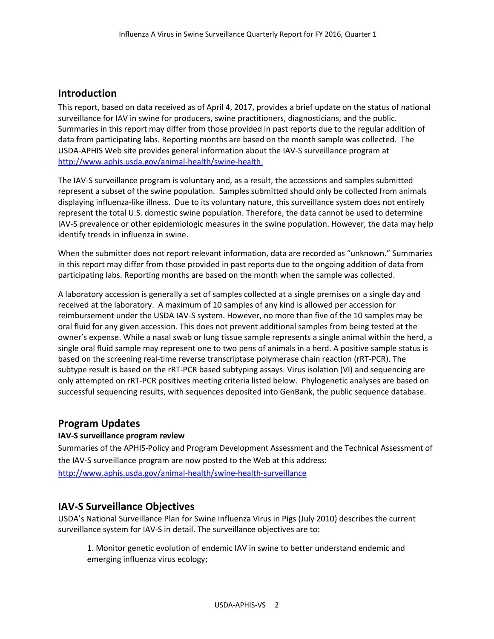## **Introduction**

This report, based on data received as of April 4, 2017, provides a brief update on the status of national surveillance for IAV in swine for producers, swine practitioners, diagnosticians, and the public. Summaries in this report may differ from those provided in past reports due to the regular addition of data from participating labs. Reporting months are based on the month sample was collected. The USDA-APHIS Web site provides general information about the IAV-S surveillance program at [http://www.aphis.usda.gov/animal-health/swine-health.](http://www.aphis.usda.gov/wps/portal/aphis/ourfocus/animalhealth?1dmy&urile=wcm%3apath%3a%2Faphis_content_library%2Fsa_our_focus%2Fsa_animal_health%2Fsa_animal_disease_information%2Fsa_swine_health)

The IAV-S surveillance program is voluntary and, as a result, the accessions and samples submitted represent a subset of the swine population. Samples submitted should only be collected from animals displaying influenza-like illness. Due to its voluntary nature, this surveillance system does not entirely represent the total U.S. domestic swine population. Therefore, the data cannot be used to determine IAV-S prevalence or other epidemiologic measures in the swine population. However, the data may help identify trends in influenza in swine.

When the submitter does not report relevant information, data are recorded as "unknown." Summaries in this report may differ from those provided in past reports due to the ongoing addition of data from participating labs. Reporting months are based on the month when the sample was collected.

A laboratory accession is generally a set of samples collected at a single premises on a single day and received at the laboratory. A maximum of 10 samples of any kind is allowed per accession for reimbursement under the USDA IAV-S system. However, no more than five of the 10 samples may be oral fluid for any given accession. This does not prevent additional samples from being tested at the owner's expense. While a nasal swab or lung tissue sample represents a single animal within the herd, a single oral fluid sample may represent one to two pens of animals in a herd. A positive sample status is based on the screening real-time reverse transcriptase polymerase chain reaction (rRT-PCR). The subtype result is based on the rRT-PCR based subtyping assays. Virus isolation (VI) and sequencing are only attempted on rRT-PCR positives meeting criteria listed below. Phylogenetic analyses are based on successful sequencing results, with sequences deposited into GenBank, the public sequence database.

### **Program Updates**

#### **IAV-S surveillance program review**

Summaries of the APHIS-Policy and Program Development Assessment and the Technical Assessment of the IAV-S surveillance program are now posted to the Web at this address: <http://www.aphis.usda.gov/animal-health/swine-health-surveillance>

### **IAV-S Surveillance Objectives**

USDA's National Surveillance Plan for Swine Influenza Virus in Pigs (July 2010) describes the current surveillance system for IAV-S in detail. The surveillance objectives are to:

1. Monitor genetic evolution of endemic IAV in swine to better understand endemic and emerging influenza virus ecology;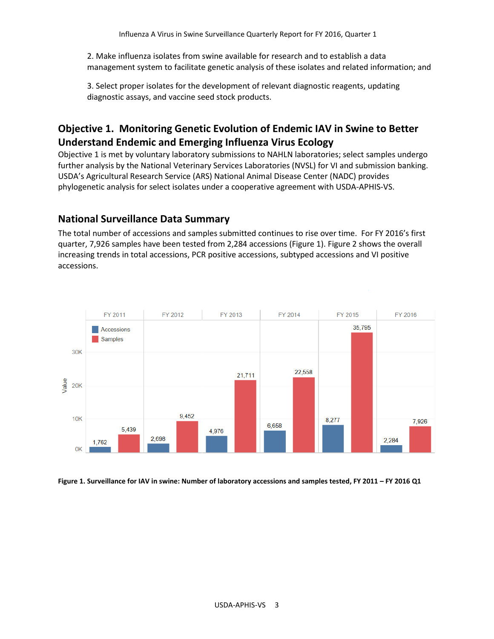2. Make influenza isolates from swine available for research and to establish a data management system to facilitate genetic analysis of these isolates and related information; and

3. Select proper isolates for the development of relevant diagnostic reagents, updating diagnostic assays, and vaccine seed stock products.

## **Objective 1. Monitoring Genetic Evolution of Endemic IAV in Swine to Better Understand Endemic and Emerging Influenza Virus Ecology**

Objective 1 is met by voluntary laboratory submissions to NAHLN laboratories; select samples undergo further analysis by the National Veterinary Services Laboratories (NVSL) for VI and submission banking. USDA's Agricultural Research Service (ARS) National Animal Disease Center (NADC) provides phylogenetic analysis for select isolates under a cooperative agreement with USDA-APHIS-VS.

## **National Surveillance Data Summary**

The total number of accessions and samples submitted continues to rise over time. For FY 2016's first quarter, 7,926 samples have been tested from 2,284 accessions (Figure 1). Figure 2 shows the overall increasing trends in total accessions, PCR positive accessions, subtyped accessions and VI positive accessions.



**Figure 1. Surveillance for IAV in swine: Number of laboratory accessions and samples tested, FY 2011 – FY 2016 Q1**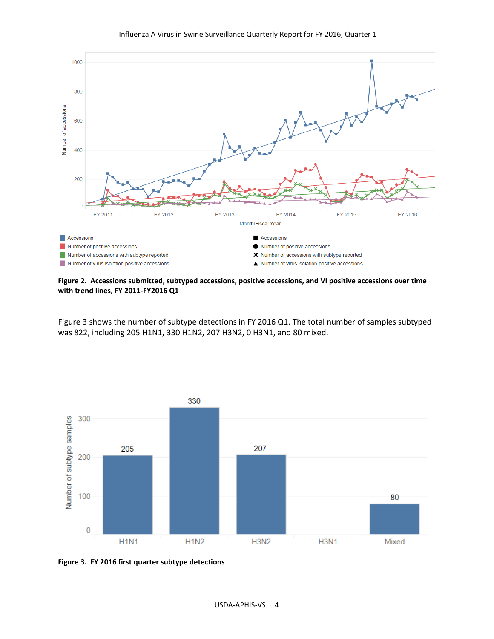



**Figure 2. Accessions submitted, subtyped accessions, positive accessions, and VI positive accessions over time with trend lines, FY 2011-FY2016 Q1**

Figure 3 shows the number of subtype detections in FY 2016 Q1. The total number of samples subtyped was 822, including 205 H1N1, 330 H1N2, 207 H3N2, 0 H3N1, and 80 mixed.



**Figure 3. FY 2016 first quarter subtype detections**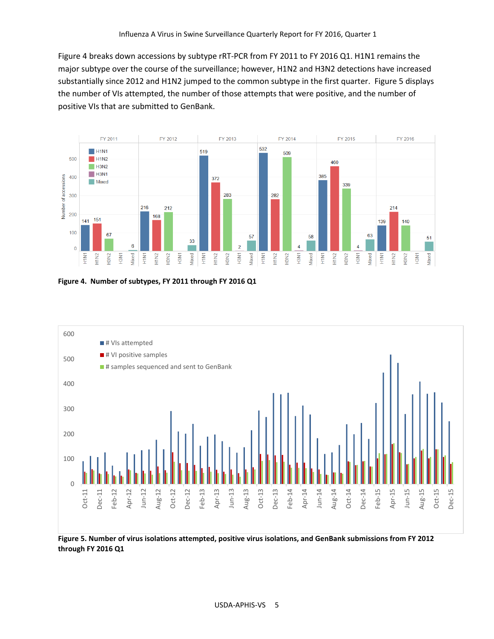Figure 4 breaks down accessions by subtype rRT-PCR from FY 2011 to FY 2016 Q1. H1N1 remains the major subtype over the course of the surveillance; however, H1N2 and H3N2 detections have increased substantially since 2012 and H1N2 jumped to the common subtype in the first quarter. Figure 5 displays the number of VIs attempted, the number of those attempts that were positive, and the number of positive VIs that are submitted to GenBank.



**Figure 4. Number of subtypes, FY 2011 through FY 2016 Q1**



**through FY 2016 Q1**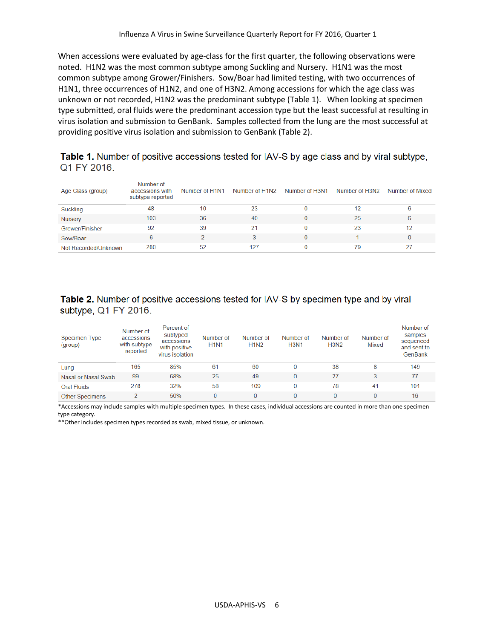When accessions were evaluated by age-class for the first quarter, the following observations were noted. H1N2 was the most common subtype among Suckling and Nursery. H1N1 was the most common subtype among Grower/Finishers. Sow/Boar had limited testing, with two occurrences of H1N1, three occurrences of H1N2, and one of H3N2. Among accessions for which the age class was unknown or not recorded, H1N2 was the predominant subtype (Table 1). When looking at specimen type submitted, oral fluids were the predominant accession type but the least successful at resulting in virus isolation and submission to GenBank. Samples collected from the lung are the most successful at providing positive virus isolation and submission to GenBank (Table 2).

Table 1. Number of positive accessions tested for IAV-S by age class and by viral subtype, Q1 FY 2016.

| Age Class (group)    | Number of<br>accessions with<br>subtype reported | Number of H1N1 | Number of H1N2 | Number of H3N1 | Number of H3N2 | Number of Mixed |
|----------------------|--------------------------------------------------|----------------|----------------|----------------|----------------|-----------------|
| Suckling             | 48                                               | 10             | 23             |                | 12             | 6               |
| <b>Nursery</b>       | 103                                              | 36             | 40             |                | 25             | 6               |
| Grower/Finisher      | 92                                               | 39             | 21             |                | 23             | 12              |
| Sow/Boar             | 6                                                |                |                |                |                | 0               |
| Not Recorded/Unknown | 280                                              | 52             | 127            |                | 79             | 27              |

Table 2. Number of positive accessions tested for IAV-S by specimen type and by viral subtype, Q1 FY 2016.

| Specimen Type<br>(group) | Number of<br>accessions<br>with subtype<br>reported | Percent of<br>subtyped<br>accessions<br>with positive<br>virus isolation | Number of<br><b>H1N1</b> | Number of<br><b>H1N2</b> | Number of<br><b>H3N1</b> | Number of<br><b>H3N2</b> | Number of<br>Mixed | Number of<br>samples<br>sequenced<br>and sent to<br>GenBank |
|--------------------------|-----------------------------------------------------|--------------------------------------------------------------------------|--------------------------|--------------------------|--------------------------|--------------------------|--------------------|-------------------------------------------------------------|
| Lung                     | 165                                                 | 85%                                                                      | 61                       | 60                       | 0                        | 38                       | 8                  | 149                                                         |
| Nasal or Nasal Swab      | 99                                                  | 68%                                                                      | 25                       | 49                       | 0                        | 27                       | 3                  | 77                                                          |
| <b>Oral Fluids</b>       | 278                                                 | 32%                                                                      | 58                       | 109                      | 0                        | 78                       | 41                 | 101                                                         |
| <b>Other Specimens</b>   | 2                                                   | 50%                                                                      |                          | 0                        | 0                        |                          | $\Omega$           | 16                                                          |

\*Accessions may include samples with multiple specimen types. In these cases, individual accessions are counted in more than one specimen type category.

\*\*Other includes specimen types recorded as swab, mixed tissue, or unknown.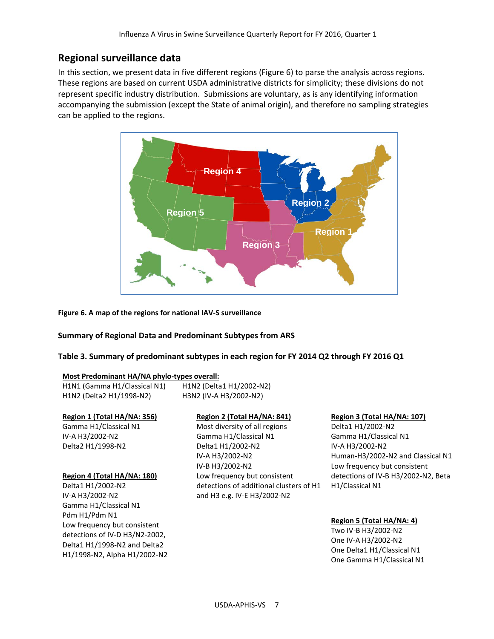## **Regional surveillance data**

In this section, we present data in five different regions (Figure 6) to parse the analysis across regions. These regions are based on current USDA administrative districts for simplicity; these divisions do not represent specific industry distribution. Submissions are voluntary, as is any identifying information accompanying the submission (except the State of animal origin), and therefore no sampling strategies can be applied to the regions.



**Figure 6. A map of the regions for national IAV-S surveillance**

#### **Summary of Regional Data and Predominant Subtypes from ARS**

**Table 3. Summary of predominant subtypes in each region for FY 2014 Q2 through FY 2016 Q1** 

#### **Most Predominant HA/NA phylo-types overall:**

| H1N1 (Gamma H1/Classical N1) | H1N2 (Delta1 H1/2002-N2) |
|------------------------------|--------------------------|
| H1N2 (Delta2 H1/1998-N2)     | H3N2 (IV-A H3/2002-N2)   |

#### **Region 1 (Total HA/NA: 356)**

Gamma H1/Classical N1 IV-A H3/2002-N2 Delta2 H1/1998-N2

#### **Region 4 (Total HA/NA: 180)**

Delta1 H1/2002-N2 IV-A H3/2002-N2 Gamma H1/Classical N1 Pdm H1/Pdm N1 Low frequency but consistent detections of IV-D H3/N2-2002, Delta1 H1/1998-N2 and Delta2 H1/1998-N2, Alpha H1/2002-N2

#### **Region 2 (Total HA/NA: 841)** Most diversity of all regions

Gamma H1/Classical N1 Delta1 H1/2002-N2 IV-A H3/2002-N2 IV-B H3/2002-N2 Low frequency but consistent detections of additional clusters of H1 and H3 e.g. IV-E H3/2002-N2

#### **Region 3 (Total HA/NA: 107)**

Delta1 H1/2002-N2 Gamma H1/Classical N1 IV-A H3/2002-N2 Human-H3/2002-N2 and Classical N1 Low frequency but consistent detections of IV-B H3/2002-N2, Beta H1/Classical N1

#### **Region 5 (Total HA/NA: 4)**

Two IV-B H3/2002-N2 One IV-A H3/2002-N2 One Delta1 H1/Classical N1 One Gamma H1/Classical N1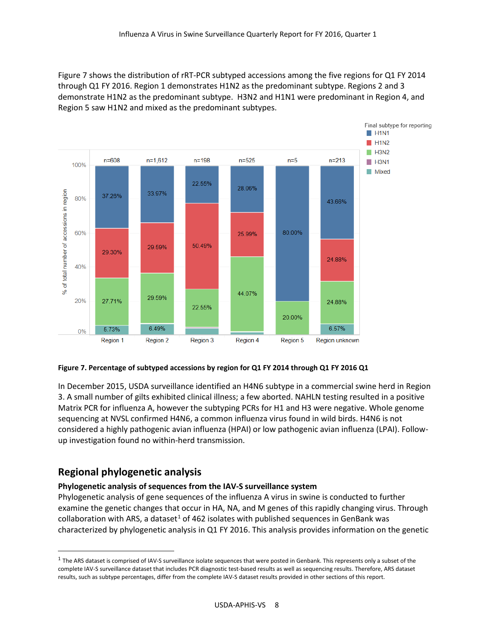Figure 7 shows the distribution of rRT-PCR subtyped accessions among the five regions for Q1 FY 2014 through Q1 FY 2016. Region 1 demonstrates H1N2 as the predominant subtype. Regions 2 and 3 demonstrate H1N2 as the predominant subtype. H3N2 and H1N1 were predominant in Region 4, and Region 5 saw H1N2 and mixed as the predominant subtypes.



#### **Figure 7. Percentage of subtyped accessions by region for Q1 FY 2014 through Q1 FY 2016 Q1**

In December 2015, USDA surveillance identified an H4N6 subtype in a commercial swine herd in Region 3. A small number of gilts exhibited clinical illness; a few aborted. NAHLN testing resulted in a positive Matrix PCR for influenza A, however the subtyping PCRs for H1 and H3 were negative. Whole genome sequencing at NVSL confirmed H4N6, a common influenza virus found in wild birds. H4N6 is not considered a highly pathogenic avian influenza (HPAI) or low pathogenic avian influenza (LPAI). Followup investigation found no within-herd transmission.

## **Regional phylogenetic analysis**

#### **Phylogenetic analysis of sequences from the IAV-S surveillance system**

Phylogenetic analysis of gene sequences of the influenza A virus in swine is conducted to further examine the genetic changes that occur in HA, NA, and M genes of this rapidly changing virus. Through collaboration with ARS, a dataset<sup>1</sup> of 462 isolates with published sequences in GenBank was characterized by phylogenetic analysis in Q1 FY 2016. This analysis provides information on the genetic

<span id="page-7-0"></span> $1$  The ARS dataset is comprised of IAV-S surveillance isolate sequences that were posted in Genbank. This represents only a subset of the complete IAV-S surveillance dataset that includes PCR diagnostic test-based results as well as sequencing results. Therefore, ARS dataset results, such as subtype percentages, differ from the complete IAV-S dataset results provided in other sections of this report.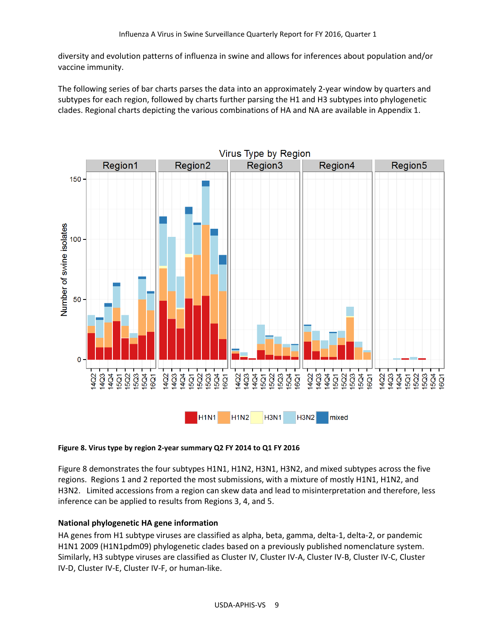diversity and evolution patterns of influenza in swine and allows for inferences about population and/or vaccine immunity.

The following series of bar charts parses the data into an approximately 2-year window by quarters and subtypes for each region, followed by charts further parsing the H1 and H3 subtypes into phylogenetic clades. Regional charts depicting the various combinations of HA and NA are available in Appendix 1.



#### **Figure 8. Virus type by region 2-year summary Q2 FY 2014 to Q1 FY 2016**

Figure 8 demonstrates the four subtypes H1N1, H1N2, H3N1, H3N2, and mixed subtypes across the five regions. Regions 1 and 2 reported the most submissions, with a mixture of mostly H1N1, H1N2, and H3N2. Limited accessions from a region can skew data and lead to misinterpretation and therefore, less inference can be applied to results from Regions 3, 4, and 5.

#### **National phylogenetic HA gene information**

HA genes from H1 subtype viruses are classified as alpha, beta, gamma, delta-1, delta-2, or pandemic H1N1 2009 (H1N1pdm09) phylogenetic clades based on a previously published nomenclature system. Similarly, H3 subtype viruses are classified as Cluster IV, Cluster IV-A, Cluster IV-B, Cluster IV-C, Cluster IV-D, Cluster IV-E, Cluster IV-F, or human-like.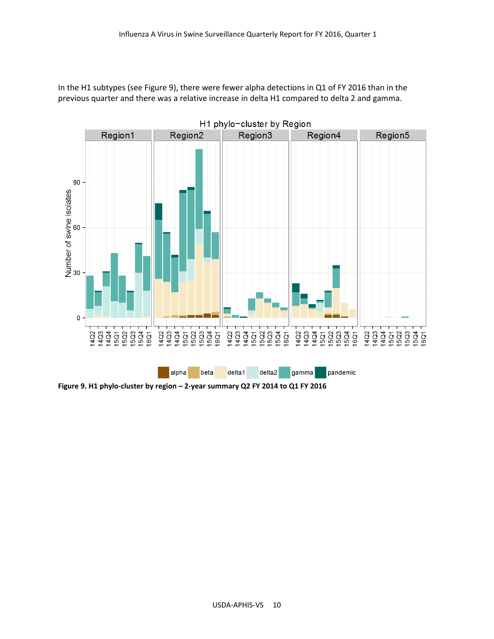In the H1 subtypes (see Figure 9), there were fewer alpha detections in Q1 of FY 2016 than in the previous quarter and there was a relative increase in delta H1 compared to delta 2 and gamma.



**Figure 9. H1 phylo-cluster by region – 2-year summary Q2 FY 2014 to Q1 FY 2016**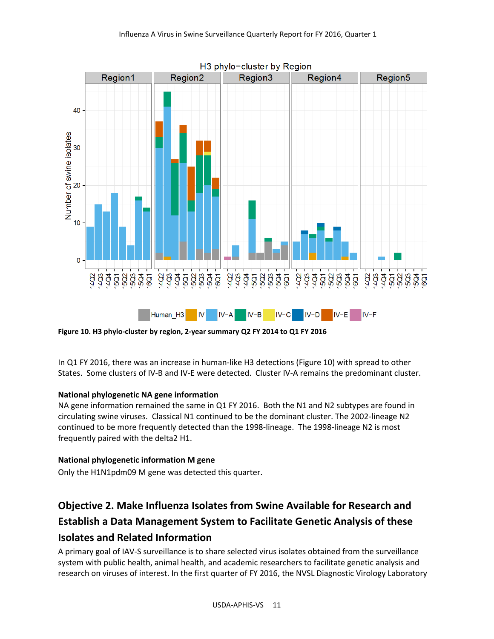

**Figure 10. H3 phylo-cluster by region, 2-year summary Q2 FY 2014 to Q1 FY 2016**

In Q1 FY 2016, there was an increase in human-like H3 detections (Figure 10) with spread to other States. Some clusters of IV-B and IV-E were detected. Cluster IV-A remains the predominant cluster.

#### **National phylogenetic NA gene information**

NA gene information remained the same in Q1 FY 2016. Both the N1 and N2 subtypes are found in circulating swine viruses. Classical N1 continued to be the dominant cluster. The 2002-lineage N2 continued to be more frequently detected than the 1998-lineage. The 1998-lineage N2 is most frequently paired with the delta2 H1.

### **National phylogenetic information M gene**

Only the H1N1pdm09 M gene was detected this quarter.

# **Objective 2. Make Influenza Isolates from Swine Available for Research and Establish a Data Management System to Facilitate Genetic Analysis of these Isolates and Related Information**

A primary goal of IAV-S surveillance is to share selected virus isolates obtained from the surveillance system with public health, animal health, and academic researchers to facilitate genetic analysis and research on viruses of interest. In the first quarter of FY 2016, the NVSL Diagnostic Virology Laboratory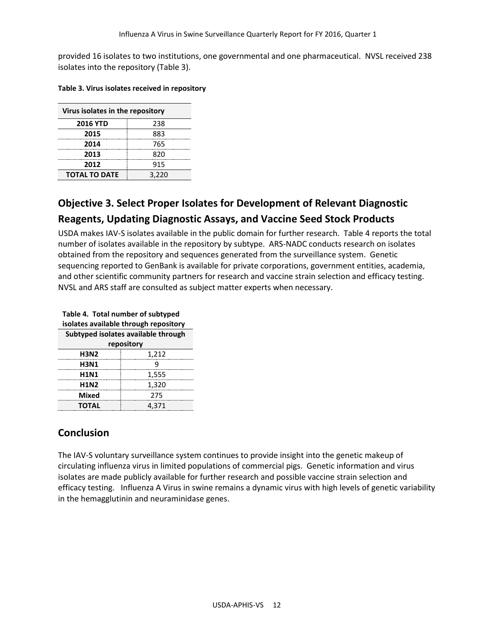provided 16 isolates to two institutions, one governmental and one pharmaceutical. NVSL received 238 isolates into the repository (Table 3).

| Table 3. Virus isolates received in repository |  |
|------------------------------------------------|--|
|------------------------------------------------|--|

| Virus isolates in the repository |       |  |  |
|----------------------------------|-------|--|--|
| <b>2016 YTD</b>                  | 238   |  |  |
| 2015                             | 883   |  |  |
| 2014                             | 765   |  |  |
| 2013                             | 820   |  |  |
| 2012                             | 915   |  |  |
| <b>TOTAL TO DATE</b>             | 3,220 |  |  |

## **Objective 3. Select Proper Isolates for Development of Relevant Diagnostic Reagents, Updating Diagnostic Assays, and Vaccine Seed Stock Products**

USDA makes IAV-S isolates available in the public domain for further research. Table 4 reports the total number of isolates available in the repository by subtype. ARS-NADC conducts research on isolates obtained from the repository and sequences generated from the surveillance system. Genetic sequencing reported to GenBank is available for private corporations, government entities, academia, and other scientific community partners for research and vaccine strain selection and efficacy testing. NVSL and ARS staff are consulted as subject matter experts when necessary.

| Table 4. Total number of subtyped<br>isolates available through repository |       |  |  |  |
|----------------------------------------------------------------------------|-------|--|--|--|
| Subtyped isolates available through                                        |       |  |  |  |
| repository                                                                 |       |  |  |  |
| <b>H3N2</b>                                                                | 1,212 |  |  |  |
| <b>H3N1</b>                                                                | q     |  |  |  |
| <b>H1N1</b>                                                                | 1,555 |  |  |  |
| <b>H1N2</b>                                                                | 1,320 |  |  |  |
| <b>Mixed</b>                                                               | 275   |  |  |  |
| <b>TOTAL</b>                                                               | 4.371 |  |  |  |

## **Conclusion**

The IAV-S voluntary surveillance system continues to provide insight into the genetic makeup of circulating influenza virus in limited populations of commercial pigs. Genetic information and virus isolates are made publicly available for further research and possible vaccine strain selection and efficacy testing. Influenza A Virus in swine remains a dynamic virus with high levels of genetic variability in the hemagglutinin and neuraminidase genes.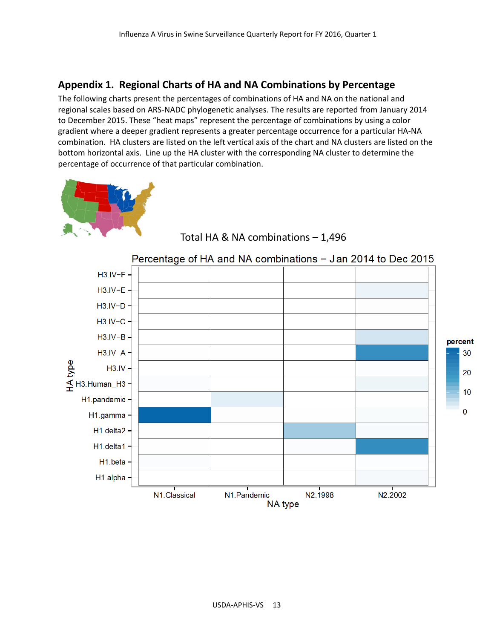## **Appendix 1. Regional Charts of HA and NA Combinations by Percentage**

The following charts present the percentages of combinations of HA and NA on the national and regional scales based on ARS-NADC phylogenetic analyses. The results are reported from January 2014 to December 2015. These "heat maps" represent the percentage of combinations by using a color gradient where a deeper gradient represents a greater percentage occurrence for a particular HA-NA combination. HA clusters are listed on the left vertical axis of the chart and NA clusters are listed on the bottom horizontal axis. Line up the HA cluster with the corresponding NA cluster to determine the percentage of occurrence of that particular combination.





Total HA & NA combinations – 1,496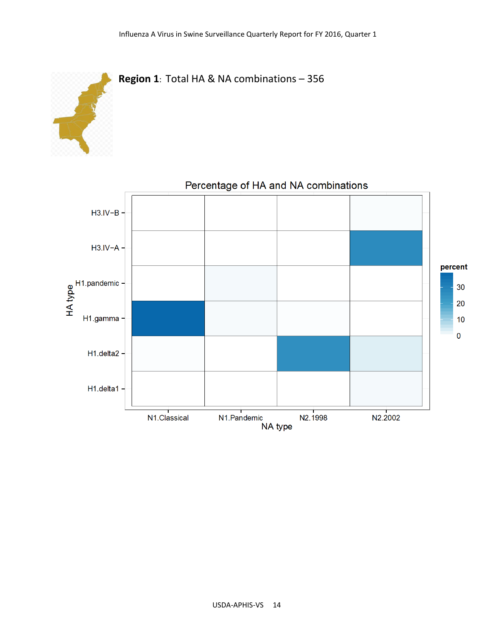



# Percentage of HA and NA combinations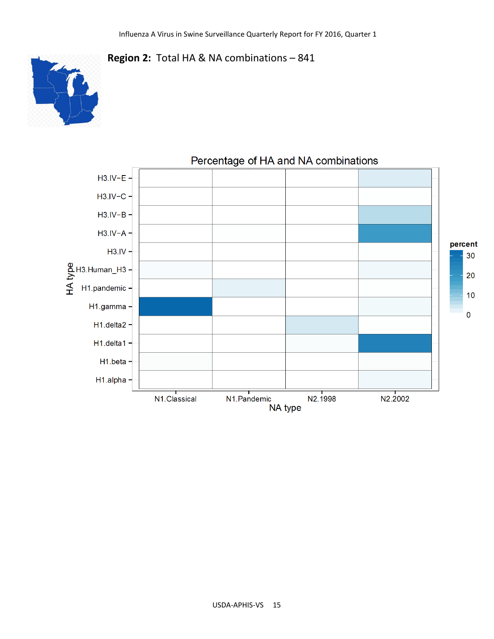

## **Region 2:** Total HA & NA combinations – 841



## Percentage of HA and NA combinations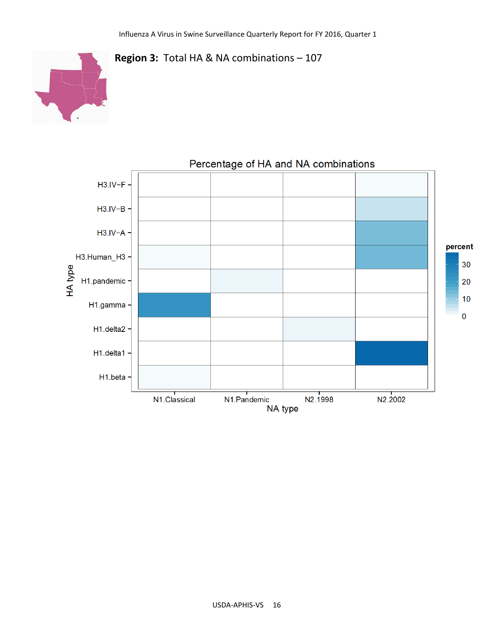



#### USDA-APHIS-VS 16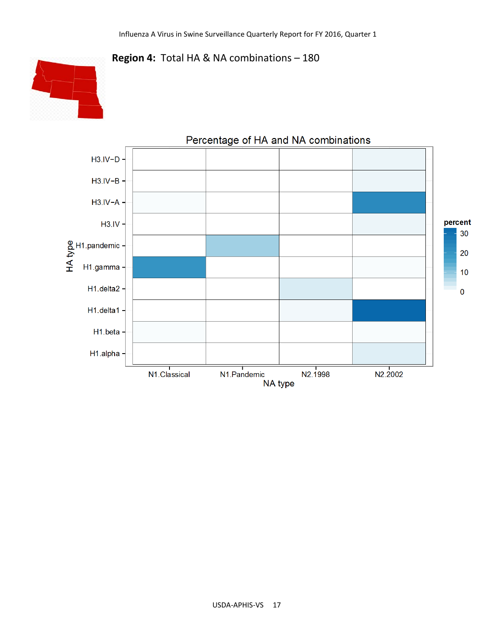





#### USDA-APHIS-VS 17